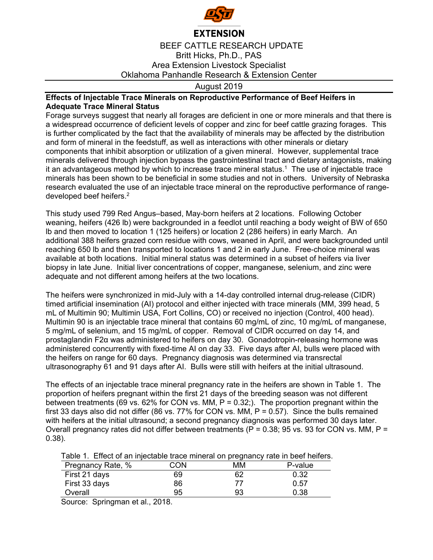

## **EXTENSION**

BEEF CATTLE RESEARCH UPDATE Britt Hicks, Ph.D., PAS Area Extension Livestock Specialist Oklahoma Panhandle Research & Extension Center

## August 2019

## **Effects of Injectable Trace Minerals on Reproductive Performance of Beef Heifers in Adequate Trace Mineral Status**

Forage surveys suggest that nearly all forages are deficient in one or more minerals and that there is a widespread occurrence of deficient levels of copper and zinc for beef cattle grazing forages. This is further complicated by the fact that the availability of minerals may be affected by the distribution and form of mineral in the feedstuff, as well as interactions with other minerals or dietary components that inhibit absorption or utilization of a given mineral. However, supplemental trace minerals delivered through injection bypass the gastrointestinal tract and dietary antagonists, making it an advantageous method by which to increase trace mineral status.1 The use of injectable trace minerals has been shown to be beneficial in some studies and not in others. University of Nebraska research evaluated the use of an injectable trace mineral on the reproductive performance of rangedeveloped beef heifers.2

This study used 799 Red Angus–based, May-born heifers at 2 locations. Following October weaning, heifers (426 lb) were backgrounded in a feedlot until reaching a body weight of BW of 650 lb and then moved to location 1 (125 heifers) or location 2 (286 heifers) in early March. An additional 388 heifers grazed corn residue with cows, weaned in April, and were backgrounded until reaching 650 lb and then transported to locations 1 and 2 in early June. Free-choice mineral was available at both locations. Initial mineral status was determined in a subset of heifers via liver biopsy in late June. Initial liver concentrations of copper, manganese, selenium, and zinc were adequate and not different among heifers at the two locations.

The heifers were synchronized in mid-July with a 14-day controlled internal drug-release (CIDR) timed artificial insemination (AI) protocol and either injected with trace minerals (MM, 399 head, 5 mL of Multimin 90; Multimin USA, Fort Collins, CO) or received no injection (Control, 400 head). Multimin 90 is an injectable trace mineral that contains 60 mg/mL of zinc, 10 mg/mL of manganese, 5 mg/mL of selenium, and 15 mg/mL of copper. Removal of CIDR occurred on day 14, and prostaglandin F2α was administered to heifers on day 30. Gonadotropin-releasing hormone was administered concurrently with fixed-time AI on day 33. Five days after AI, bulls were placed with the heifers on range for 60 days. Pregnancy diagnosis was determined via transrectal ultrasonography 61 and 91 days after AI. Bulls were still with heifers at the initial ultrasound.

The effects of an injectable trace mineral pregnancy rate in the heifers are shown in Table 1. The proportion of heifers pregnant within the first 21 days of the breeding season was not different between treatments (69 vs. 62% for CON vs. MM,  $P = 0.32$ .). The proportion pregnant within the first 33 days also did not differ (86 vs. 77% for CON vs. MM,  $P = 0.57$ ). Since the bulls remained with heifers at the initial ultrasound; a second pregnancy diagnosis was performed 30 days later. Overall pregnancy rates did not differ between treatments ( $P = 0.38$ ; 95 vs. 93 for CON vs. MM,  $P =$ 0.38).

Table 1. Effect of an injectable trace mineral on pregnancy rate in beef heifers.

| Pregnancy Rate, % | CON | ΜМ | P-value |
|-------------------|-----|----|---------|
| First 21 days     | 69  | 62 | 0.32    |
| First 33 days     | 86  |    | 0.57    |
| Overall           | 95  | 93 | 0.38    |

Source: Springman et al., 2018.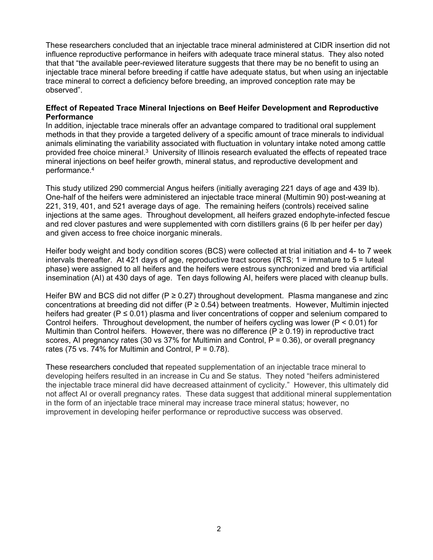These researchers concluded that an injectable trace mineral administered at CIDR insertion did not influence reproductive performance in heifers with adequate trace mineral status. They also noted that that "the available peer-reviewed literature suggests that there may be no benefit to using an injectable trace mineral before breeding if cattle have adequate status, but when using an injectable trace mineral to correct a deficiency before breeding, an improved conception rate may be observed".

## **Effect of Repeated Trace Mineral Injections on Beef Heifer Development and Reproductive Performance**

In addition, injectable trace minerals offer an advantage compared to traditional oral supplement methods in that they provide a targeted delivery of a specific amount of trace minerals to individual animals eliminating the variability associated with fluctuation in voluntary intake noted among cattle provided free choice mineral.3 University of Illinois research evaluated the effects of repeated trace mineral injections on beef heifer growth, mineral status, and reproductive development and performance.4

This study utilized 290 commercial Angus heifers (initially averaging 221 days of age and 439 lb). One-half of the heifers were administered an injectable trace mineral (Multimin 90) post-weaning at 221, 319, 401, and 521 average days of age. The remaining heifers (controls) received saline injections at the same ages. Throughout development, all heifers grazed endophyte-infected fescue and red clover pastures and were supplemented with corn distillers grains (6 lb per heifer per day) and given access to free choice inorganic minerals.

Heifer body weight and body condition scores (BCS) were collected at trial initiation and 4- to 7 week intervals thereafter. At 421 days of age, reproductive tract scores (RTS; 1 = immature to 5 = luteal phase) were assigned to all heifers and the heifers were estrous synchronized and bred via artificial insemination (AI) at 430 days of age. Ten days following AI, heifers were placed with cleanup bulls.

Heifer BW and BCS did not differ ( $P \ge 0.27$ ) throughout development. Plasma manganese and zinc concentrations at breeding did not differ ( $P \ge 0.54$ ) between treatments. However, Multimin injected heifers had greater ( $P \le 0.01$ ) plasma and liver concentrations of copper and selenium compared to Control heifers. Throughout development, the number of heifers cycling was lower (P < 0.01) for Multimin than Control heifers. However, there was no difference ( $P \ge 0.19$ ) in reproductive tract scores, AI pregnancy rates (30 vs  $37\%$  for Multimin and Control, P = 0.36), or overall pregnancy rates (75 vs. 74% for Multimin and Control,  $P = 0.78$ ).

These researchers concluded that repeated supplementation of an injectable trace mineral to developing heifers resulted in an increase in Cu and Se status. They noted "heifers administered the injectable trace mineral did have decreased attainment of cyclicity." However, this ultimately did not affect AI or overall pregnancy rates. These data suggest that additional mineral supplementation in the form of an injectable trace mineral may increase trace mineral status; however, no improvement in developing heifer performance or reproductive success was observed.